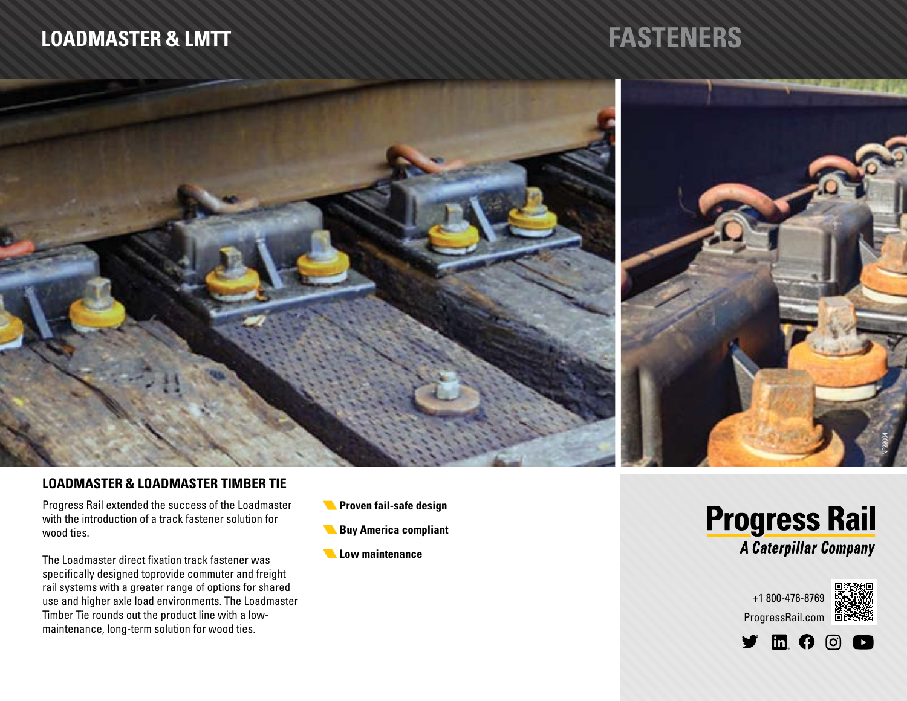# **FASTENERS**



### **LOADMASTER & LOADMASTER TIMBER TIE**

Progress Rail extended the success of the Loadmaster with the introduction of a track fastener solution for wood ties.

The Loadmaster direct fixation track fastener was specifically designed toprovide commuter and freight rail systems with a greater range of options for shared use and higher axle load environments. The Loadmaster Timber Tie rounds out the product line with a lowmaintenance, long-term solution for wood ties.

- **Proven fail-safe design**
- **Buy America compliant**
- *Low maintenance*





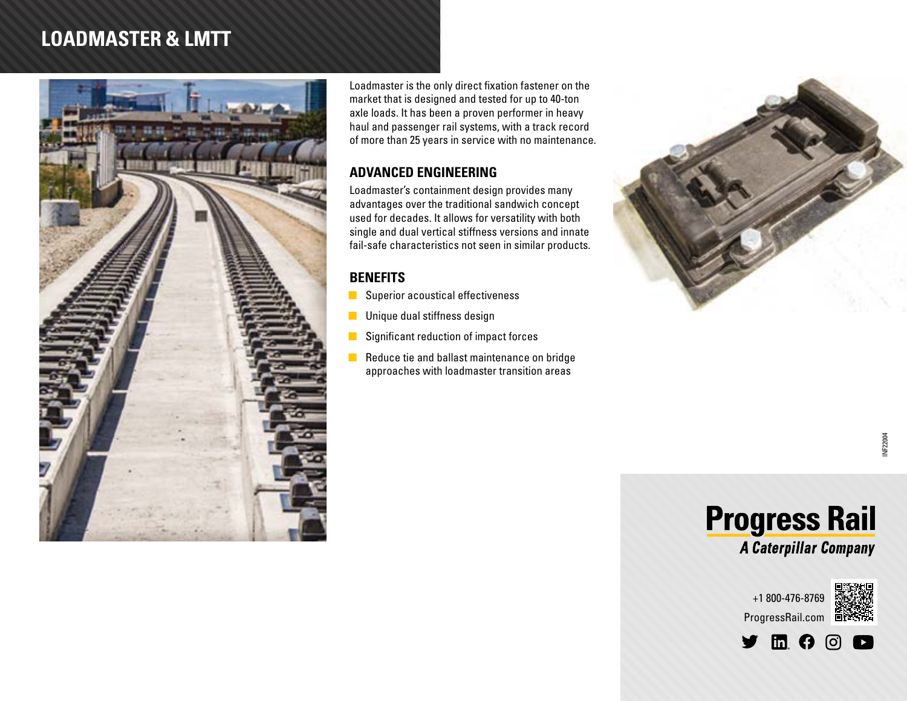

Loadmaster is the only direct fixation fastener on the market that is designed and tested for up to 40-ton axle loads. It has been a proven performer in heavy haul and passenger rail systems, with a track record of more than 25 years in service with no maintenance.

#### **ADVANCED ENGINEERING**

Loadmaster's containment design provides many advantages over the traditional sandwich concept used for decades. It allows for versatility with both single and dual vertical stiffness versions and innate fail-safe characteristics not seen in similar products.

### **BENEFITS**

- $\blacksquare$  Superior acoustical effectiveness
- $\blacksquare$  Unique dual stiffness design
- $\blacksquare$  Significant reduction of impact forces
- Reduce tie and ballast maintenance on bridge approaches with loadmaster transition areas







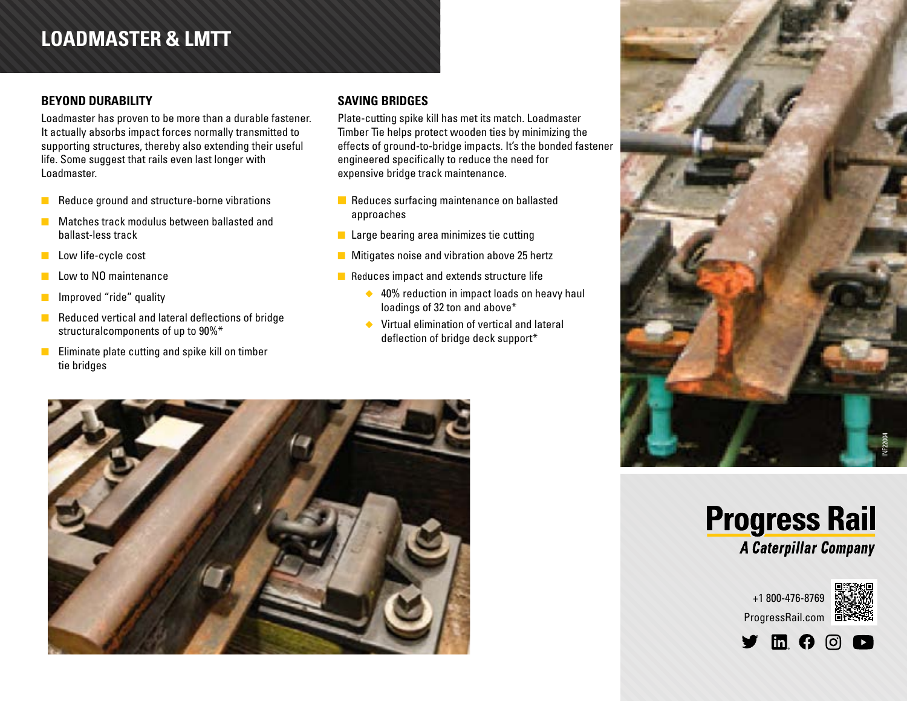#### **BEYOND DURABILITY**

Loadmaster has proven to be more than a durable fastener. It actually absorbs impact forces normally transmitted to supporting structures, thereby also extending their useful life. Some suggest that rails even last longer with Loadmaster.

- **n** Reduce ground and structure-borne vibrations
- **n** Matches track modulus between ballasted and ballast-less track
- **n** Low life-cycle cost
- $\blacksquare$  Low to NO maintenance
- **n** Improved "ride" quality
- $\blacksquare$  Reduced vertical and lateral deflections of bridge structuralcomponents of up to 90%\*
- $\blacksquare$  Eliminate plate cutting and spike kill on timber tie bridges

#### **SAVING BRIDGES**

Plate-cutting spike kill has met its match. Loadmaster Timber Tie helps protect wooden ties by minimizing the effects of ground-to-bridge impacts. It's the bonded fastener engineered specifically to reduce the need for expensive bridge track maintenance.

- $\blacksquare$  Reduces surfacing maintenance on ballasted approaches
- $\blacksquare$  Large bearing area minimizes tie cutting
- $\blacksquare$  Mitigates noise and vibration above 25 hertz
- $\blacksquare$  Reduces impact and extends structure life
	- $\triangle$  40% reduction in impact loads on heavy haul loadings of 32 ton and above\*
	- $\blacklozenge$  Virtual elimination of vertical and lateral deflection of bridge deck support\*